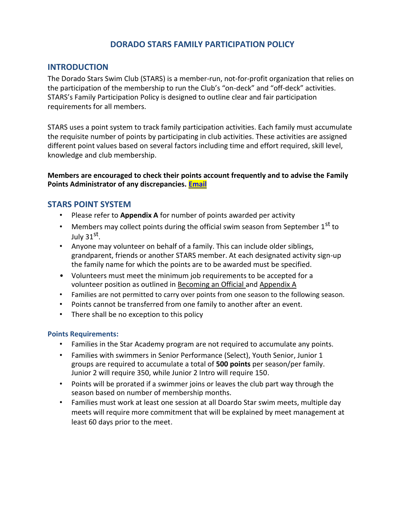## **DORADO STARS FAMILY PARTICIPATION POLICY**

### **INTRODUCTION**

The Dorado Stars Swim Club (STARS) is a member-run, not-for-profit organization that relies on the participation of the membership to run the Club's "on-deck" and "off-deck" activities. STARS's Family Participation Policy is designed to outline clear and fair participation requirements for all members.

STARS uses a point system to track family participation activities. Each family must accumulate the requisite number of points by participating in club activities. These activities are assigned different point values based on several factors including time and effort required, skill level, knowledge and club membership.

#### **Members are encouraged to check their points account frequently and to advise the Family Points Administrator of any discrepancies. Email**

## **STARS POINT SYSTEM**

- Please refer to **Appendix A** for number of points awarded per activity
- Members may collect points during the official swim season from September  $1<sup>st</sup>$  to July 31<sup>st</sup>.
- Anyone may volunteer on behalf of a family. This can include older siblings, grandparent, friends or another STARS member. At each designated activity sign-up the family name for which the points are to be awarded must be specified.
- Volunteers must meet the minimum job requirements to be accepted for a volunteer position as outlined in Becoming an Official and Appendix A
- Families are not permitted to carry over points from one season to the following season.
- Points cannot be transferred from one family to another after an event.
- There shall be no exception to this policy

#### **Points Requirements:**

- Families in the Star Academy program are not required to accumulate any points.
- Families with swimmers in Senior Performance (Select), Youth Senior, Junior 1 groups are required to accumulate a total of **500 points** per season/per family. Junior 2 will require 350, while Junior 2 Intro will require 150.
- Points will be prorated if a swimmer joins or leaves the club part way through the season based on number of membership months.
- Families must work at least one session at all Doardo Star swim meets, multiple day meets will require more commitment that will be explained by meet management at least 60 days prior to the meet.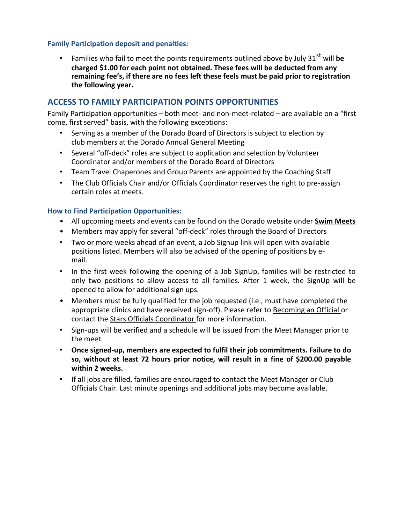#### **Family Participation deposit and penalties:**

• Families who fail to meet the points requirements outlined above by July 31<sup>st</sup> will be **charged \$1.00 for each point not obtained. These fees will be deducted from any remaining fee's, if there are no fees left these feels must be paid prior to registration the following year.**

## **ACCESS TO FAMILY PARTICIPATION POINTS OPPORTUNITIES**

Family Participation opportunities – both meet- and non-meet-related – are available on a "first come, first served" basis, with the following exceptions:

- Serving as a member of the Dorado Board of Directors is subject to election by club members at the Dorado Annual General Meeting
- Several "off-deck" roles are subject to application and selection by Volunteer Coordinator and/or members of the Dorado Board of Directors
- Team Travel Chaperones and Group Parents are appointed by the Coaching Staff
- The Club Officials Chair and/or Officials Coordinator reserves the right to pre-assign certain roles at meets.

#### **How to Find Participation Opportunities:**

- All upcoming meets and events can be found on the Dorado website under **[Swim Meets](https://www.teamunify.com/Home.jsp?_tabid_=0&team=canatsc)**
- Members may apply for several "off-deck" roles through the Board of Directors
- Two or more weeks ahead of an event, a Job Signup link will open with available positions listed. Members will also be advised of the opening of positions by email.
- In the first week following the opening of a Job SignUp, families will be restricted to only two positions to allow access to all families. After 1 week, the SignUp will be opened to allow for additional sign ups.
- Members must be fully qualified for the job requested (i.e., must have completed the appropriate clinics and have received sign-off). Please refer t[o Becoming an Official o](https://www.teamunify.com/SubTabGeneric.jsp?team=canatsc&_stabid_=161723)r contact the Stars Officials Coordinator for more information.
- Sign-ups will be verified and a schedule will be issued from the Meet Manager prior to the meet.
- **Once signed-up, members are expected to fulfil their job commitments. Failure to do so, without at least 72 hours prior notice, will result in a fine of \$200.00 payable within 2 weeks.**
- If all jobs are filled, families are encouraged to contact the Meet Manager or Club Officials Chair. Last minute openings and additional jobs may become available.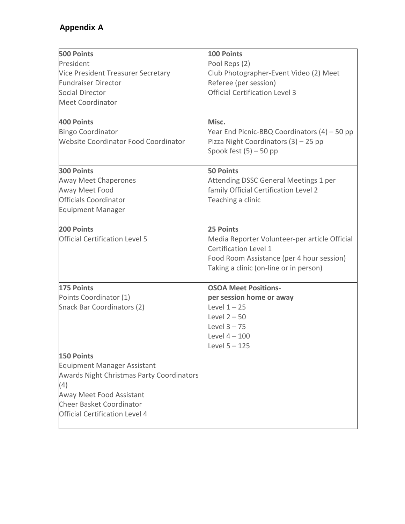# **Appendix A**

| <b>500 Points</b>                           | 100 Points                                    |
|---------------------------------------------|-----------------------------------------------|
| President                                   | Pool Reps (2)                                 |
| Vice President Treasurer Secretary          | Club Photographer-Event Video (2) Meet        |
| <b>Fundraiser Director</b>                  | Referee (per session)                         |
| Social Director                             | <b>Official Certification Level 3</b>         |
| <b>Meet Coordinator</b>                     |                                               |
|                                             |                                               |
| 400 Points                                  | Misc.                                         |
| <b>Bingo Coordinator</b>                    | Year End Picnic-BBQ Coordinators (4) – 50 pp  |
| <b>Website Coordinator Food Coordinator</b> | Pizza Night Coordinators (3) - 25 pp          |
|                                             | Spook fest $(5)$ – 50 pp                      |
| <b>300 Points</b>                           | <b>50 Points</b>                              |
| <b>Away Meet Chaperones</b>                 | Attending DSSC General Meetings 1 per         |
| Away Meet Food                              | family Official Certification Level 2         |
| <b>Officials Coordinator</b>                | Teaching a clinic                             |
| <b>Equipment Manager</b>                    |                                               |
| 200 Points                                  | 25 Points                                     |
| <b>Official Certification Level 5</b>       | Media Reporter Volunteer-per article Official |
|                                             | Certification Level 1                         |
|                                             | Food Room Assistance (per 4 hour session)     |
|                                             | Taking a clinic (on-line or in person)        |
| 175 Points                                  | <b>OSOA Meet Positions-</b>                   |
| Points Coordinator (1)                      | per session home or away                      |
| Snack Bar Coordinators (2)                  | Level $1 - 25$                                |
|                                             | Level $2 - 50$                                |
|                                             | Level $3 - 75$                                |
|                                             | Level $4-100$                                 |
|                                             | Level 5 - 125                                 |
| <b>150 Points</b>                           |                                               |
| <b>Equipment Manager Assistant</b>          |                                               |
| Awards Night Christmas Party Coordinators   |                                               |
| (4)                                         |                                               |
| Away Meet Food Assistant                    |                                               |
| <b>Cheer Basket Coordinator</b>             |                                               |
| <b>Official Certification Level 4</b>       |                                               |
|                                             |                                               |